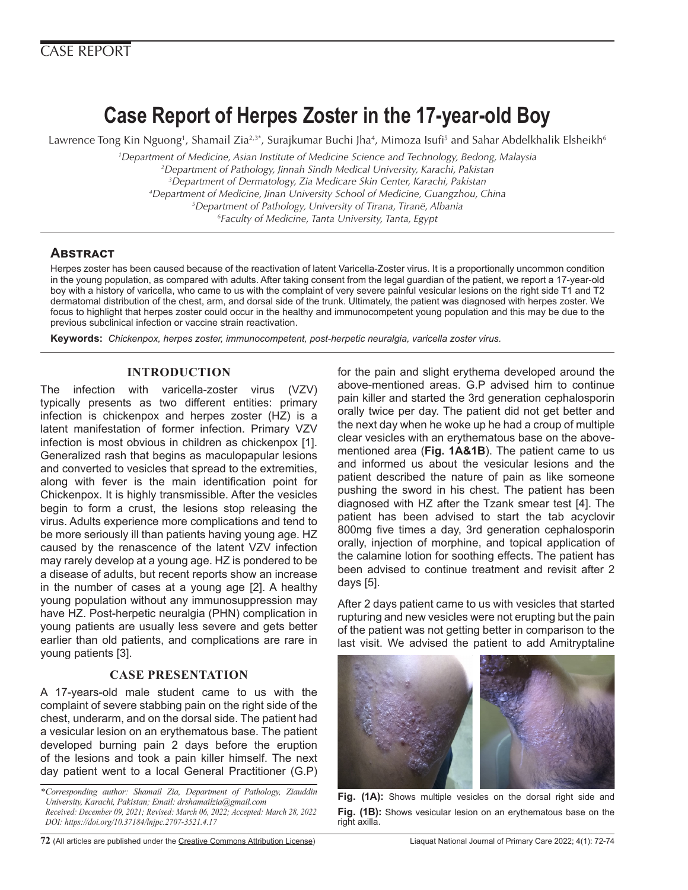# **Case Report of Herpes Zoster in the 17-year-old Boy**

Lawrence Tong Kin Nguong<sup>1</sup>, Shamail Zia<sup>2,3</sup>\*, Surajkumar Buchi Jha<sup>4</sup>, Mimoza Isufi<sup>5</sup> and Sahar Abdelkhalik Elsheikh<sup>6</sup>

 *Department of Medicine, Asian Institute of Medicine Science and Technology, Bedong, Malaysia Department of Pathology, Jinnah Sindh Medical University, Karachi, Pakistan Department of Dermatology, Zia Medicare Skin Center, Karachi, Pakistan Department of Medicine, Jinan University School of Medicine, Guangzhou, China Department of Pathology, University of Tirana, Tiranë, Albania Faculty of Medicine, Tanta University, Tanta, Egypt*

# **Abstract**

Herpes zoster has been caused because of the reactivation of latent Varicella-Zoster virus. It is a proportionally uncommon condition in the young population, as compared with adults. After taking consent from the legal guardian of the patient, we report a 17-year-old boy with a history of varicella, who came to us with the complaint of very severe painful vesicular lesions on the right side T1 and T2 dermatomal distribution of the chest, arm, and dorsal side of the trunk. Ultimately, the patient was diagnosed with herpes zoster. We focus to highlight that herpes zoster could occur in the healthy and immunocompetent young population and this may be due to the previous subclinical infection or vaccine strain reactivation.

**Keywords:** *Chickenpox, herpes zoster, immunocompetent, post-herpetic neuralgia, varicella zoster virus.* 

## **INTRODUCTION**

The infection with varicella-zoster virus (VZV) typically presents as two different entities: primary infection is chickenpox and herpes zoster (HZ) is a latent manifestation of former infection. Primary VZV infection is most obvious in children as chickenpox [1]. Generalized rash that begins as maculopapular lesions and converted to vesicles that spread to the extremities, along with fever is the main identification point for Chickenpox. It is highly transmissible. After the vesicles begin to form a crust, the lesions stop releasing the virus. Adults experience more complications and tend to be more seriously ill than patients having young age. HZ caused by the renascence of the latent VZV infection may rarely develop at a young age. HZ is pondered to be a disease of adults, but recent reports show an increase in the number of cases at a young age [2]. A healthy young population without any immunosuppression may have HZ. Post-herpetic neuralgia (PHN) complication in young patients are usually less severe and gets better earlier than old patients, and complications are rare in young patients [3].

## **CASE PRESENTATION**

A 17-years-old male student came to us with the complaint of severe stabbing pain on the right side of the chest, underarm, and on the dorsal side. The patient had a vesicular lesion on an erythematous base. The patient developed burning pain 2 days before the eruption of the lesions and took a pain killer himself. The next day patient went to a local General Practitioner (G.P)

*\*Corresponding author: Shamail Zia, Department of Pathology, Ziauddin University, Karachi, Pakistan; Email: drshamailzia@gmail.com Received: December 09, 2021; Revised: March 06, 2022; Accepted: March 28, 2022 DOI: https://doi.org/10.37184/lnjpc.2707-3521.4.17*

for the pain and slight erythema developed around the above-mentioned areas. G.P advised him to continue pain killer and started the 3rd generation cephalosporin orally twice per day. The patient did not get better and the next day when he woke up he had a croup of multiple clear vesicles with an erythematous base on the abovementioned area (**Fig. 1A&1B**). The patient came to us and informed us about the vesicular lesions and the patient described the nature of pain as like someone pushing the sword in his chest. The patient has been diagnosed with HZ after the Tzank smear test [4]. The patient has been advised to start the tab acyclovir 800mg five times a day, 3rd generation cephalosporin orally, injection of morphine, and topical application of the calamine lotion for soothing effects. The patient has been advised to continue treatment and revisit after 2 days [5].

After 2 days patient came to us with vesicles that started rupturing and new vesicles were not erupting but the pain of the patient was not getting better in comparison to the last visit. We advised the patient to add Amitryptaline



**Fig. (1A):** Shows multiple vesicles on the dorsal right side and **Fig. (1B):** Shows vesicular lesion on an erythematous base on the right axilla.

**72** (All articles are published under the [Creative Commons Attribution License](https://creativecommons.org/licenses/by/4.0/)) Liaquat National Journal of Primary Care 2022; 4(1): 72-74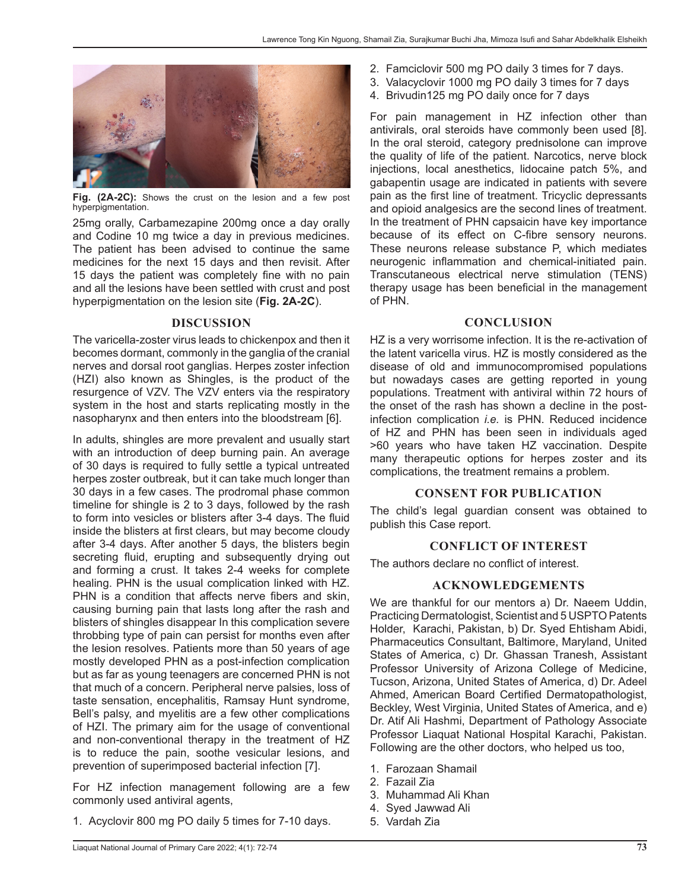

**Fig. (2A-2C):** Shows the crust on the lesion and a few post hyperpigmentation.

25mg orally, Carbamezapine 200mg once a day orally and Codine 10 mg twice a day in previous medicines. The patient has been advised to continue the same medicines for the next 15 days and then revisit. After 15 days the patient was completely fine with no pain and all the lesions have been settled with crust and post hyperpigmentation on the lesion site (**Fig. 2A-2C**).

#### **DISCUSSION**

The varicella-zoster virus leads to chickenpox and then it becomes dormant, commonly in the ganglia of the cranial nerves and dorsal root ganglias. Herpes zoster infection (HZI) also known as Shingles, is the product of the resurgence of VZV. The VZV enters via the respiratory system in the host and starts replicating mostly in the nasopharynx and then enters into the bloodstream [6].

In adults, shingles are more prevalent and usually start with an introduction of deep burning pain. An average of 30 days is required to fully settle a typical untreated herpes zoster outbreak, but it can take much longer than 30 days in a few cases. The prodromal phase common timeline for shingle is 2 to 3 days, followed by the rash to form into vesicles or blisters after 3-4 days. The fluid inside the blisters at first clears, but may become cloudy after 3-4 days. After another 5 days, the blisters begin secreting fluid, erupting and subsequently drying out and forming a crust. It takes 2-4 weeks for complete healing. PHN is the usual complication linked with HZ. PHN is a condition that affects nerve fibers and skin, causing burning pain that lasts long after the rash and blisters of shingles disappear In this complication severe throbbing type of pain can persist for months even after the lesion resolves. Patients more than 50 years of age mostly developed PHN as a post-infection complication but as far as young teenagers are concerned PHN is not that much of a concern. Peripheral nerve palsies, loss of taste sensation, encephalitis, Ramsay Hunt syndrome, Bell's palsy, and myelitis are a few other complications of HZI. The primary aim for the usage of conventional and non-conventional therapy in the treatment of HZ is to reduce the pain, soothe vesicular lesions, and prevention of superimposed bacterial infection [7].

For HZ infection management following are a few commonly used antiviral agents,

1. Acyclovir 800 mg PO daily 5 times for 7-10 days.

- 2. Famciclovir 500 mg PO daily 3 times for 7 days.
- 3. Valacyclovir 1000 mg PO daily 3 times for 7 days
- 4. Brivudin125 mg PO daily once for 7 days

For pain management in HZ infection other than antivirals, oral steroids have commonly been used [8]. In the oral steroid, category prednisolone can improve the quality of life of the patient. Narcotics, nerve block injections, local anesthetics, lidocaine patch 5%, and gabapentin usage are indicated in patients with severe pain as the first line of treatment. Tricyclic depressants and opioid analgesics are the second lines of treatment. In the treatment of PHN capsaicin have key importance because of its effect on C-fibre sensory neurons. These neurons release substance P, which mediates neurogenic inflammation and chemical-initiated pain. Transcutaneous electrical nerve stimulation (TENS) therapy usage has been beneficial in the management of PHN.

#### **CONCLUSION**

HZ is a very worrisome infection. It is the re-activation of the latent varicella virus. HZ is mostly considered as the disease of old and immunocompromised populations but nowadays cases are getting reported in young populations. Treatment with antiviral within 72 hours of the onset of the rash has shown a decline in the postinfection complication *i.e.* is PHN. Reduced incidence of HZ and PHN has been seen in individuals aged >60 years who have taken HZ vaccination. Despite many therapeutic options for herpes zoster and its complications, the treatment remains a problem.

## **CONSENT FOR PUBLICATION**

The child's legal guardian consent was obtained to publish this Case report.

#### **CONFLICT OF INTEREST**

The authors declare no conflict of interest.

#### **ACKNOWLEDGEMENTS**

We are thankful for our mentors a) Dr. Naeem Uddin, Practicing Dermatologist, Scientist and 5 USPTO Patents Holder, Karachi, Pakistan, b) Dr. Syed Ehtisham Abidi, Pharmaceutics Consultant, Baltimore, Maryland, United States of America, c) Dr. Ghassan Tranesh, Assistant Professor University of Arizona College of Medicine, Tucson, Arizona, United States of America, d) Dr. Adeel Ahmed, American Board Certified Dermatopathologist, Beckley, West Virginia, United States of America, and e) Dr. Atif Ali Hashmi, Department of Pathology Associate Professor Liaquat National Hospital Karachi, Pakistan. Following are the other doctors, who helped us too,

- 1. Farozaan Shamail
- 2. Fazail Zia
- 3. Muhammad Ali Khan
- 4. Syed Jawwad Ali
- 5. Vardah Zia